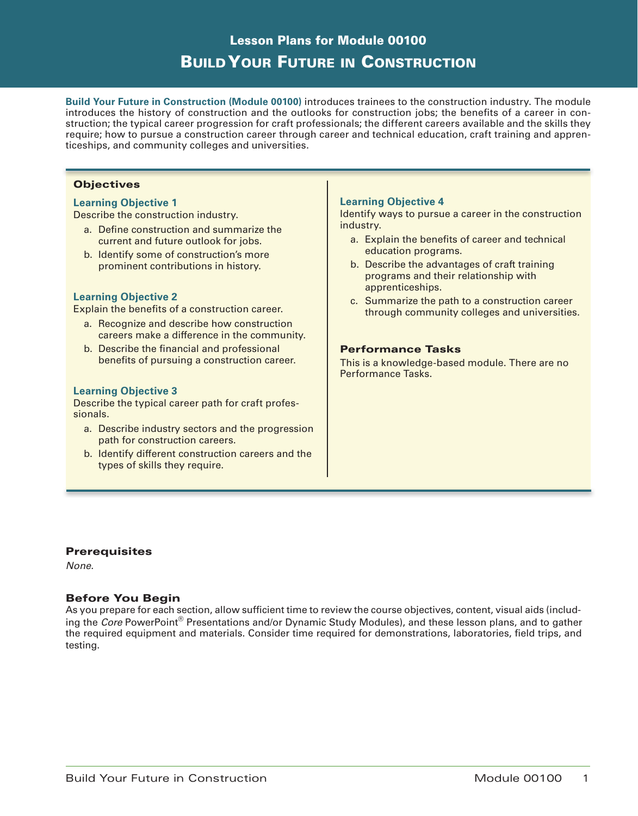# Lesson Plans for Module 00100 Build Your Future in Construction

**Build Your Future in Construction (Module 00100)** introduces trainees to the construction industry. The module introduces the history of construction and the outlooks for construction jobs; the benefits of a career in construction; the typical career progression for craft professionals; the different careers available and the skills they require; how to pursue a construction career through career and technical education, craft training and apprenticeships, and community colleges and universities.

# **Objectives**

### **Learning Objective 1**

Describe the construction industry.

- a. Define construction and summarize the current and future outlook for jobs.
- b. Identify some of construction's more prominent contributions in history.

# **Learning Objective 2**

Explain the benefits of a construction career.

- a. Recognize and describe how construction careers make a difference in the community.
- b. Describe the financial and professional benefits of pursuing a construction career.

### **Learning Objective 3**

Describe the typical career path for craft professionals.

- a. Describe industry sectors and the progression path for construction careers.
- b. Identify different construction careers and the types of skills they require.

### **Learning Objective 4**

Identify ways to pursue a career in the construction industry.

- a. Explain the benefits of career and technical education programs.
- b. Describe the advantages of craft training programs and their relationship with apprenticeships.
- c. Summarize the path to a construction career through community colleges and universities.

### Performance Tasks

This is a knowledge-based module. There are no Performance Tasks.

# **Prerequisites**

*None*.

### Before You Begin

As you prepare for each section, allow sufficient time to review the course objectives, content, visual aids (including the *Core* PowerPoint® Presentations and/or Dynamic Study Modules), and these lesson plans, and to gather the required equipment and materials. Consider time required for demonstrations, laboratories, field trips, and testing.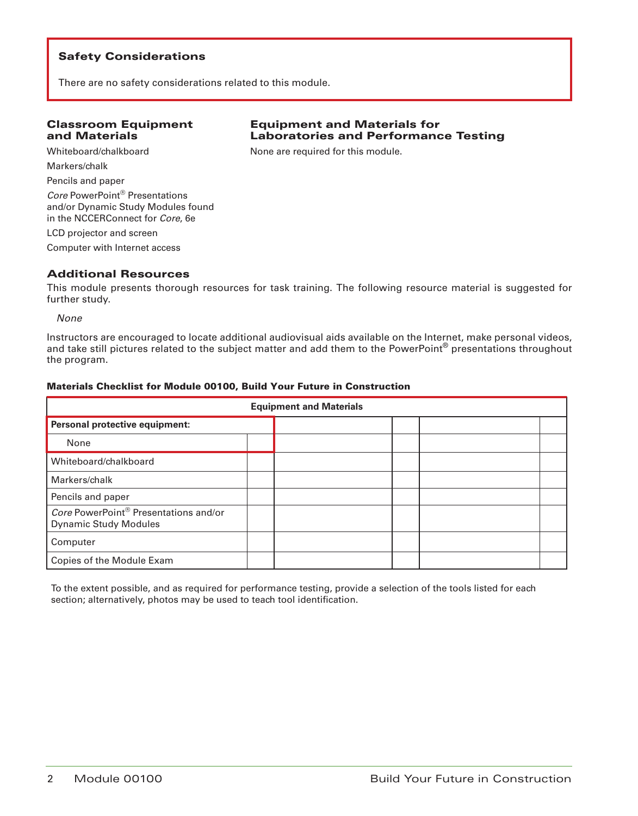There are no safety considerations related to this module.

### Classroom Equipment and Materials

# Equipment and Materials for Laboratories and Performance Testing

Whiteboard/chalkboard Markers/chalk Pencils and paper *Core* PowerPoint® Presentations and/or Dynamic Study Modules found in the NCCERConnect for *Core*, 6e LCD projector and screen

Computer with Internet access

# Additional Resources

This module presents thorough resources for task training. The following resource material is suggested for further study.

None are required for this module.

*None*

Instructors are encouraged to locate additional audiovisual aids available on the Internet, make personal videos, and take still pictures related to the subject matter and add them to the PowerPoint<sup>®</sup> presentations throughout the program.

### Materials Checklist for Module 00100, Build Your Future in Construction

| <b>Equipment and Materials</b>                                        |  |  |  |  |  |
|-----------------------------------------------------------------------|--|--|--|--|--|
| Personal protective equipment:                                        |  |  |  |  |  |
| None                                                                  |  |  |  |  |  |
| Whiteboard/chalkboard                                                 |  |  |  |  |  |
| Markers/chalk                                                         |  |  |  |  |  |
| Pencils and paper                                                     |  |  |  |  |  |
| Core PowerPoint® Presentations and/or<br><b>Dynamic Study Modules</b> |  |  |  |  |  |
| Computer                                                              |  |  |  |  |  |
| Copies of the Module Exam                                             |  |  |  |  |  |

To the extent possible, and as required for performance testing, provide a selection of the tools listed for each section; alternatively, photos may be used to teach tool identification.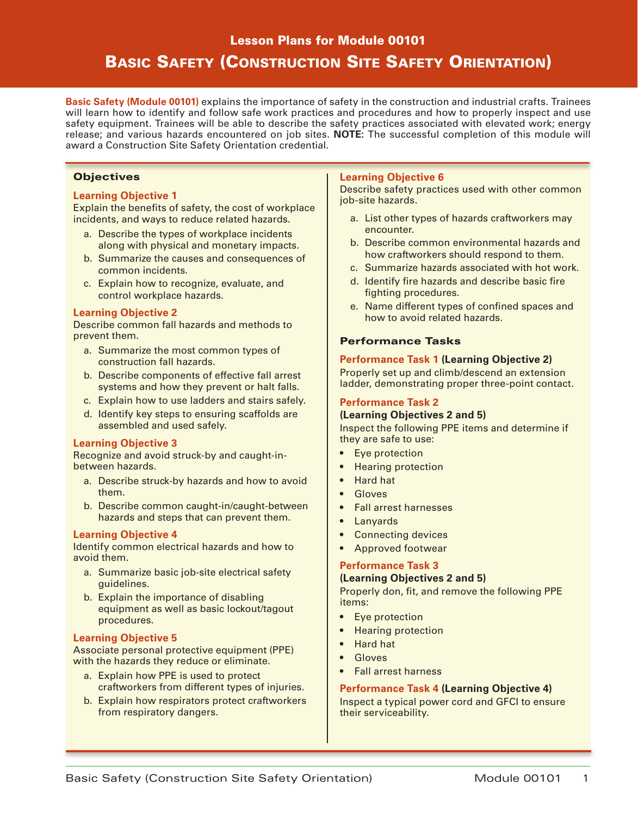# Lesson Plans for Module 00101

# Basic Safety (Construction Site Safety Orientation)

**Basic Safety (Module 00101)** explains the importance of safety in the construction and industrial crafts. Trainees will learn how to identify and follow safe work practices and procedures and how to properly inspect and use safety equipment. Trainees will be able to describe the safety practices associated with elevated work; energy release; and various hazards encountered on job sites. **NOTE:** The successful completion of this module will award a Construction Site Safety Orientation credential.

# **Objectives**

# **Learning Objective 1**

Explain the benefits of safety, the cost of workplace incidents, and ways to reduce related hazards.

- a. Describe the types of workplace incidents along with physical and monetary impacts.
- b. Summarize the causes and consequences of common incidents.
- c. Explain how to recognize, evaluate, and control workplace hazards.

### **Learning Objective 2**

Describe common fall hazards and methods to prevent them.

- a. Summarize the most common types of construction fall hazards.
- b. Describe components of effective fall arrest systems and how they prevent or halt falls.
- c. Explain how to use ladders and stairs safely.
- d. Identify key steps to ensuring scaffolds are assembled and used safely.

#### **Learning Objective 3**

Recognize and avoid struck-by and caught-inbetween hazards.

- a. Describe struck-by hazards and how to avoid them.
- b. Describe common caught-in/caught-between hazards and steps that can prevent them.

### **Learning Objective 4**

Identify common electrical hazards and how to avoid them.

- a. Summarize basic job-site electrical safety guidelines.
- b. Explain the importance of disabling equipment as well as basic lockout/tagout procedures.

### **Learning Objective 5**

Associate personal protective equipment (PPE) with the hazards they reduce or eliminate.

- a. Explain how PPE is used to protect craftworkers from different types of injuries.
- b. Explain how respirators protect craftworkers from respiratory dangers.

### **Learning Objective 6**

Describe safety practices used with other common job-site hazards.

- a. List other types of hazards craftworkers may encounter.
- b. Describe common environmental hazards and how craftworkers should respond to them.
- c. Summarize hazards associated with hot work.
- d. Identify fire hazards and describe basic fire fighting procedures.
- e. Name different types of confined spaces and how to avoid related hazards.

### Performance Tasks

### **Performance Task 1 (Learning Objective 2)**

Properly set up and climb/descend an extension ladder, demonstrating proper three-point contact.

# **Performance Task 2**

### **(Learning Objectives 2 and 5)**

Inspect the following PPE items and determine if they are safe to use:

- Eye protection
- Hearing protection
- Hard hat
- **Gloves**
- Fall arrest harnesses
- Lanyards
- Connecting devices
- Approved footwear

### **Performance Task 3**

#### **(Learning Objectives 2 and 5)**

Properly don, fit, and remove the following PPE items:

- Eye protection
- Hearing protection
- Hard hat
- **Gloves**
- Fall arrest harness

### **Performance Task 4 (Learning Objective 4)**

Inspect a typical power cord and GFCI to ensure their serviceability.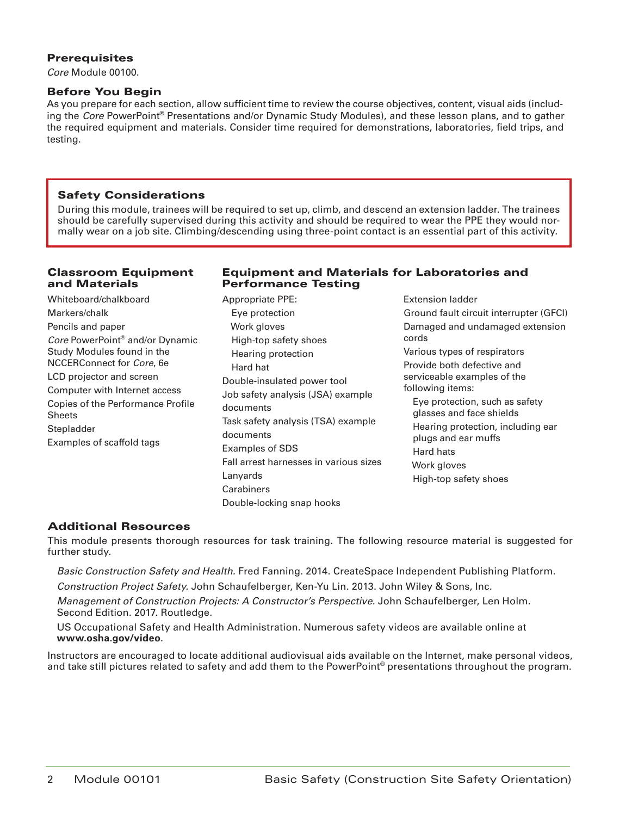# **Prerequisites**

*Core* Module 00100.

# Before You Begin

As you prepare for each section, allow sufficient time to review the course objectives, content, visual aids (including the *Core* PowerPoint® Presentations and/or Dynamic Study Modules), and these lesson plans, and to gather the required equipment and materials. Consider time required for demonstrations, laboratories, field trips, and testing.

# Safety Considerations

During this module, trainees will be required to set up, climb, and descend an extension ladder. The trainees should be carefully supervised during this activity and should be required to wear the PPE they would normally wear on a job site. Climbing/descending using three-point contact is an essential part of this activity.

# Classroom Equipment and Materials

# Equipment and Materials for Laboratories and Performance Testing

Whiteboard/chalkboard Markers/chalk Pencils and paper *Core* PowerPoint® and/or Dynamic Study Modules found in the NCCERConnect for *Core*, 6e LCD projector and screen Computer with Internet access Copies of the Performance Profile Sheets Stepladder Examples of scaffold tags

- Appropriate PPE: Eye protection Work gloves High-top safety shoes Hearing protection Hard hat Double-insulated power tool Job safety analysis (JSA) example documents Task safety analysis (TSA) example documents Examples of SDS Fall arrest harnesses in various sizes Lanyards **Carabiners** Double-locking snap hooks
- Extension ladder Ground fault circuit interrupter (GFCI) Damaged and undamaged extension cords Various types of respirators Provide both defective and serviceable examples of the following items: Eye protection, such as safety glasses and face shields Hearing protection, including ear plugs and ear muffs Hard hats Work gloves High-top safety shoes

# Additional Resources

This module presents thorough resources for task training. The following resource material is suggested for further study.

*Basic Construction Safety and Health.* Fred Fanning. 2014. CreateSpace Independent Publishing Platform.

*Construction Project Safety.* John Schaufelberger, Ken-Yu Lin. 2013. John Wiley & Sons, Inc.

*Management of Construction Projects: A Constructor's Perspective.* John Schaufelberger, Len Holm. Second Edition. 2017. Routledge.

US Occupational Safety and Health Administration. Numerous safety videos are available online at **www.osha.gov/video**.

Instructors are encouraged to locate additional audiovisual aids available on the Internet, make personal videos, and take still pictures related to safety and add them to the PowerPoint® presentations throughout the program.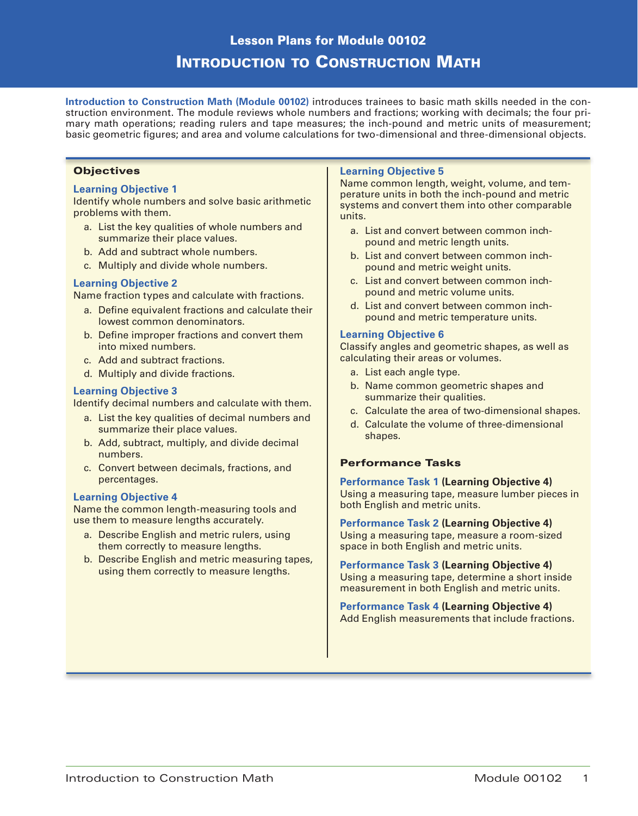# Lesson Plans for Module 00102 INTRODUCTION TO CONSTRUCTION MATH

**Introduction to Construction Math (Module 00102)** introduces trainees to basic math skills needed in the construction environment. The module reviews whole numbers and fractions; working with decimals; the four primary math operations; reading rulers and tape measures; the inch-pound and metric units of measurement; basic geometric figures; and area and volume calculations for two-dimensional and three-dimensional objects.

### **Objectives**

### **Learning Objective 1**

Identify whole numbers and solve basic arithmetic problems with them.

- a. List the key qualities of whole numbers and summarize their place values.
- b. Add and subtract whole numbers.
- c. Multiply and divide whole numbers.

# **Learning Objective 2**

Name fraction types and calculate with fractions.

- a. Define equivalent fractions and calculate their lowest common denominators.
- b. Define improper fractions and convert them into mixed numbers.
- c. Add and subtract fractions.
- d. Multiply and divide fractions.

#### **Learning Objective 3**

Identify decimal numbers and calculate with them.

- a. List the key qualities of decimal numbers and summarize their place values.
- b. Add, subtract, multiply, and divide decimal numbers.
- c. Convert between decimals, fractions, and percentages.

#### **Learning Objective 4**

Name the common length-measuring tools and use them to measure lengths accurately.

- a. Describe English and metric rulers, using them correctly to measure lengths.
- b. Describe English and metric measuring tapes, using them correctly to measure lengths.

#### **Learning Objective 5**

Name common length, weight, volume, and temperature units in both the inch-pound and metric systems and convert them into other comparable units.

- a. List and convert between common inchpound and metric length units.
- b. List and convert between common inchpound and metric weight units.
- c. List and convert between common inchpound and metric volume units.
- d. List and convert between common inchpound and metric temperature units.

### **Learning Objective 6**

Classify angles and geometric shapes, as well as calculating their areas or volumes.

- a. List each angle type.
- b. Name common geometric shapes and summarize their qualities.
- c. Calculate the area of two-dimensional shapes.
- d. Calculate the volume of three-dimensional shapes.

### Performance Tasks

**Performance Task 1 (Learning Objective 4)** Using a measuring tape, measure lumber pieces in both English and metric units.

**Performance Task 2 (Learning Objective 4)** Using a measuring tape, measure a room-sized space in both English and metric units.

**Performance Task 3 (Learning Objective 4)** Using a measuring tape, determine a short inside measurement in both English and metric units.

**Performance Task 4 (Learning Objective 4)** Add English measurements that include fractions.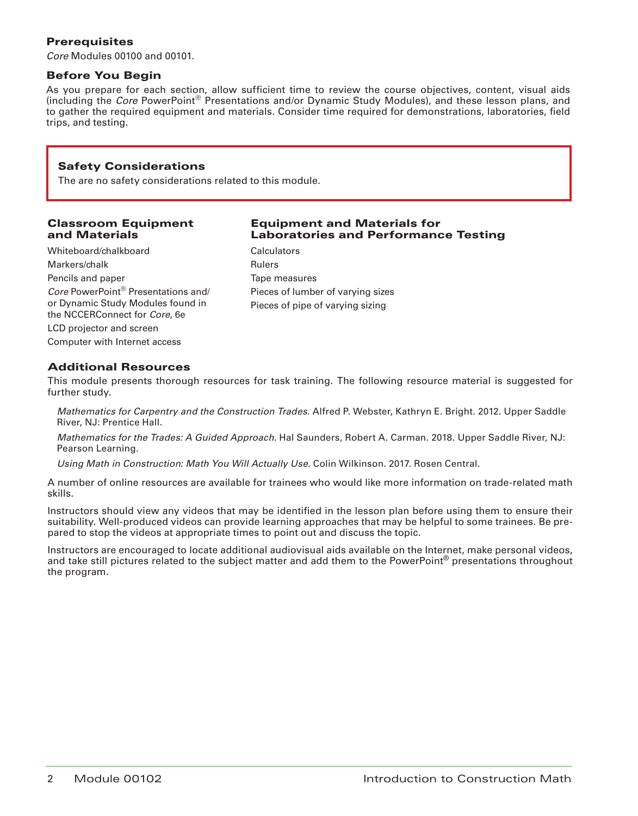# **Prerequisites**

*Core* Modules 00100 and 00101.

# Before You Begin

As you prepare for each section, allow sufficient time to review the course objectives, content, visual aids (including the *Core* PowerPoint® Presentations and/or Dynamic Study Modules), and these lesson plans, and to gather the required equipment and materials. Consider time required for demonstrations, laboratories, field trips, and testing.

# Safety Considerations

The are no safety considerations related to this module.

### Classroom Equipment and Materials

Whiteboard/chalkboard Markers/chalk Pencils and paper *Core* PowerPoint® Presentations and/ or Dynamic Study Modules found in the NCCERConnect for *Core*, 6e LCD projector and screen Computer with Internet access

# Equipment and Materials for Laboratories and Performance Testing

**Calculators** Rulers Tape measures Pieces of lumber of varying sizes Pieces of pipe of varying sizing

# Additional Resources

This module presents thorough resources for task training. The following resource material is suggested for further study.

*Mathematics for Carpentry and the Construction Trades.* Alfred P. Webster, Kathryn E. Bright. 2012. Upper Saddle River, NJ: Prentice Hall.

*Mathematics for the Trades: A Guided Approach.* Hal Saunders, Robert A. Carman. 2018. Upper Saddle River, NJ: Pearson Learning.

*Using Math in Construction: Math You Will Actually Use.* Colin Wilkinson. 2017. Rosen Central.

A number of online resources are available for trainees who would like more information on trade-related math skills.

Instructors should view any videos that may be identified in the lesson plan before using them to ensure their suitability. Well-produced videos can provide learning approaches that may be helpful to some trainees. Be prepared to stop the videos at appropriate times to point out and discuss the topic.

Instructors are encouraged to locate additional audiovisual aids available on the Internet, make personal videos, and take still pictures related to the subject matter and add them to the PowerPoint® presentations throughout the program.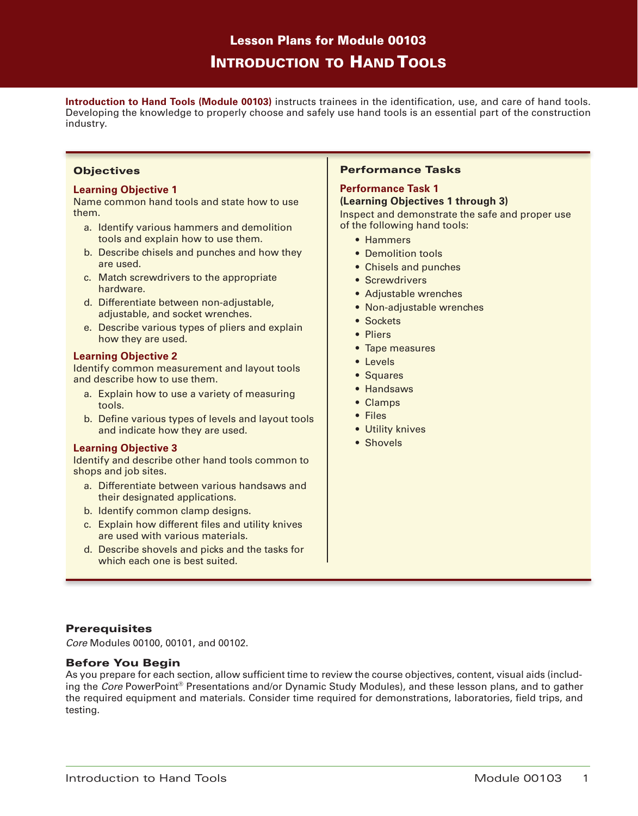# Lesson Plans for Module 00103 Introduction to Hand Tools

**Introduction to Hand Tools (Module 00103)** instructs trainees in the identification, use, and care of hand tools. Developing the knowledge to properly choose and safely use hand tools is an essential part of the construction industry.

### **Objectives**

# **Learning Objective 1**

Name common hand tools and state how to use them.

- a. Identify various hammers and demolition tools and explain how to use them.
- b. Describe chisels and punches and how they are used.
- c. Match screwdrivers to the appropriate hardware.
- d. Differentiate between non-adjustable, adjustable, and socket wrenches.
- e. Describe various types of pliers and explain how they are used.

### **Learning Objective 2**

Identify common measurement and layout tools and describe how to use them.

- a. Explain how to use a variety of measuring tools.
- b. Define various types of levels and layout tools and indicate how they are used.

### **Learning Objective 3**

Identify and describe other hand tools common to shops and job sites.

- a. Differentiate between various handsaws and their designated applications.
- b. Identify common clamp designs.
- c. Explain how different files and utility knives are used with various materials.
- d. Describe shovels and picks and the tasks for which each one is best suited.

### Performance Tasks

# **Performance Task 1**

### **(Learning Objectives 1 through 3)**

Inspect and demonstrate the safe and proper use of the following hand tools:

- Hammers
- Demolition tools
- Chisels and punches
- Screwdrivers
- Adjustable wrenches
- Non-adjustable wrenches
- Sockets
- Pliers
- Tape measures
- Levels
- Squares
- Handsaws
- Clamps
- Files
- Utility knives
- Shovels

# **Prerequisites**

*Core* Modules 00100, 00101, and 00102.

### Before You Begin

As you prepare for each section, allow sufficient time to review the course objectives, content, visual aids (including the *Core* PowerPoint® Presentations and/or Dynamic Study Modules), and these lesson plans, and to gather the required equipment and materials. Consider time required for demonstrations, laboratories, field trips, and testing.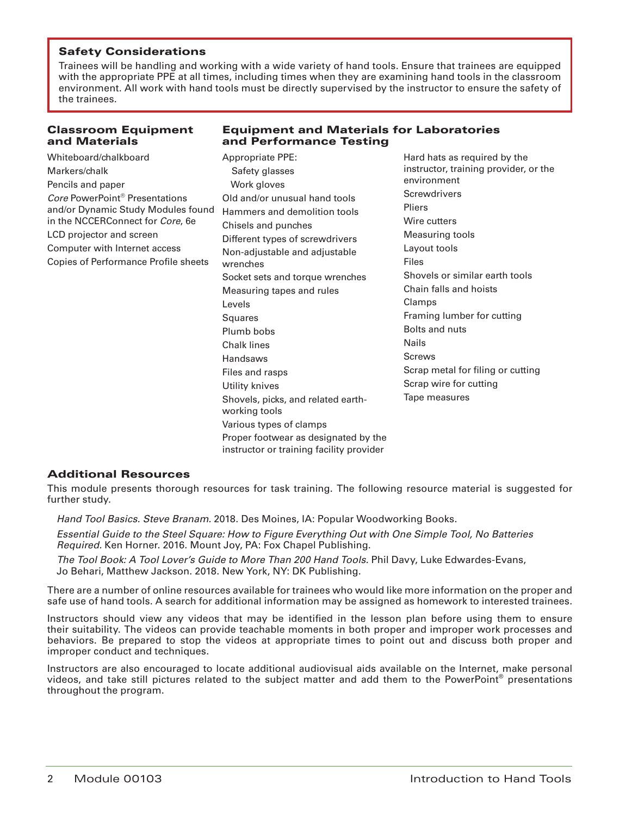Trainees will be handling and working with a wide variety of hand tools. Ensure that trainees are equipped with the appropriate PPE at all times, including times when they are examining hand tools in the classroom environment. All work with hand tools must be directly supervised by the instructor to ensure the safety of the trainees.

### Classroom Equipment and Materials

# Equipment and Materials for Laboratories and Performance Testing

| Whiteboard/chalkboard                                                 | <b>Appropriate PPE:</b>                                                                                                                      | Hard hats as required by the                         |
|-----------------------------------------------------------------------|----------------------------------------------------------------------------------------------------------------------------------------------|------------------------------------------------------|
| Markers/chalk                                                         | Safety glasses                                                                                                                               | instructor, training provider, or the<br>environment |
| Pencils and paper                                                     | Work gloves                                                                                                                                  |                                                      |
| Core PowerPoint <sup>®</sup> Presentations                            | Old and/or unusual hand tools                                                                                                                | Screwdrivers                                         |
| and/or Dynamic Study Modules found                                    | Hammers and demolition tools                                                                                                                 | Pliers                                               |
| in the NCCERConnect for Core, 6e                                      | Chisels and punches                                                                                                                          | Wire cutters                                         |
| LCD projector and screen                                              | Different types of screwdrivers<br>Non-adjustable and adjustable<br>wrenches<br>Socket sets and torque wrenches<br>Measuring tapes and rules | Measuring tools                                      |
| Computer with Internet access<br>Copies of Performance Profile sheets |                                                                                                                                              | Layout tools                                         |
|                                                                       |                                                                                                                                              | <b>Files</b>                                         |
|                                                                       |                                                                                                                                              | Shovels or similar earth tools                       |
|                                                                       |                                                                                                                                              | Chain falls and hoists                               |
|                                                                       | Levels                                                                                                                                       | Clamps                                               |
|                                                                       | Squares                                                                                                                                      | Framing lumber for cutting                           |
|                                                                       | Plumb bobs                                                                                                                                   | Bolts and nuts                                       |
|                                                                       | <b>Chalk lines</b>                                                                                                                           | <b>Nails</b>                                         |
|                                                                       | Handsaws                                                                                                                                     | Screws                                               |
|                                                                       | Files and rasps                                                                                                                              | Scrap metal for filing or cutting                    |
|                                                                       | Utility knives                                                                                                                               | Scrap wire for cutting                               |
|                                                                       | Shovels, picks, and related earth-<br>working tools                                                                                          | Tape measures                                        |
|                                                                       | Various types of clamps                                                                                                                      |                                                      |
|                                                                       | Proper footwear as designated by the<br>instructor or training facility provider                                                             |                                                      |

### Additional Resources

This module presents thorough resources for task training. The following resource material is suggested for further study.

*Hand Tool Basics. Steve Branam.* 2018. Des Moines, IA: Popular Woodworking Books.

*Essential Guide to the Steel Square: How to Figure Everything Out with One Simple Tool, No Batteries Required.* Ken Horner. 2016. Mount Joy, PA: Fox Chapel Publishing.

*The Tool Book: A Tool Lover's Guide to More Than 200 Hand Tools.* Phil Davy, Luke Edwardes-Evans, Jo Behari, Matthew Jackson. 2018. New York, NY: DK Publishing.

There are a number of online resources available for trainees who would like more information on the proper and safe use of hand tools. A search for additional information may be assigned as homework to interested trainees.

Instructors should view any videos that may be identified in the lesson plan before using them to ensure their suitability. The videos can provide teachable moments in both proper and improper work processes and behaviors. Be prepared to stop the videos at appropriate times to point out and discuss both proper and improper conduct and techniques.

Instructors are also encouraged to locate additional audiovisual aids available on the Internet, make personal videos, and take still pictures related to the subject matter and add them to the PowerPoint® presentations throughout the program.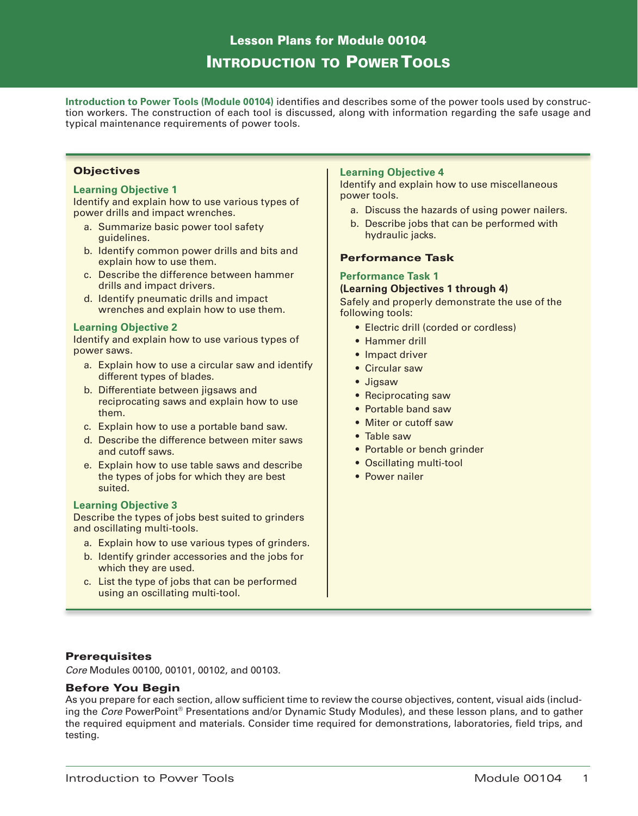# Lesson Plans for Module 00104 Introduction to Power Tools

**Introduction to Power Tools (Module 00104)** identifies and describes some of the power tools used by construction workers. The construction of each tool is discussed, along with information regarding the safe usage and typical maintenance requirements of power tools.

### **Objectives**

# **Learning Objective 1**

Identify and explain how to use various types of power drills and impact wrenches.

- a. Summarize basic power tool safety guidelines.
- b. Identify common power drills and bits and explain how to use them.
- c. Describe the difference between hammer drills and impact drivers.
- d. Identify pneumatic drills and impact wrenches and explain how to use them.

### **Learning Objective 2**

Identify and explain how to use various types of power saws.

- a. Explain how to use a circular saw and identify different types of blades.
- b. Differentiate between jigsaws and reciprocating saws and explain how to use them.
- c. Explain how to use a portable band saw.
- d. Describe the difference between miter saws and cutoff saws.
- e. Explain how to use table saws and describe the types of jobs for which they are best suited.

### **Learning Objective 3**

Describe the types of jobs best suited to grinders and oscillating multi-tools.

- a. Explain how to use various types of grinders.
- b. Identify grinder accessories and the jobs for which they are used.
- c. List the type of jobs that can be performed using an oscillating multi-tool.

# **Learning Objective 4**

Identify and explain how to use miscellaneous power tools.

- a. Discuss the hazards of using power nailers.
- b. Describe jobs that can be performed with hydraulic jacks.

# Performance Task

### **Performance Task 1**

#### **(Learning Objectives 1 through 4)**

Safely and properly demonstrate the use of the following tools:

- Electric drill (corded or cordless)
- Hammer drill
- Impact driver
- Circular saw
- Jigsaw
- Reciprocating saw
- Portable band saw
- Miter or cutoff saw
- Table saw
- Portable or bench grinder
- Oscillating multi-tool
- Power nailer

### **Prerequisites**

*Core* Modules 00100, 00101, 00102, and 00103.

### Before You Begin

As you prepare for each section, allow sufficient time to review the course objectives, content, visual aids (including the *Core* PowerPoint® Presentations and/or Dynamic Study Modules), and these lesson plans, and to gather the required equipment and materials. Consider time required for demonstrations, laboratories, field trips, and testing.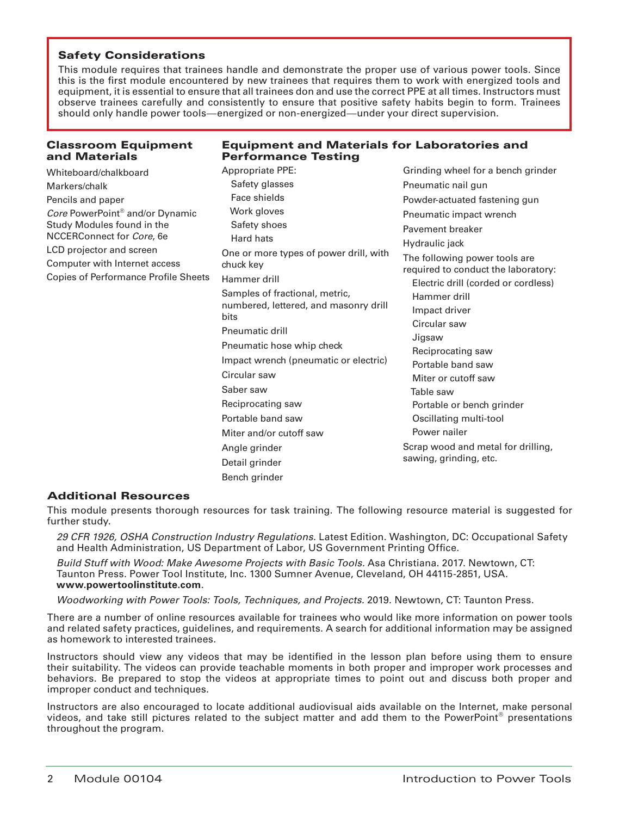This module requires that trainees handle and demonstrate the proper use of various power tools. Since this is the first module encountered by new trainees that requires them to work with energized tools and equipment, it is essential to ensure that all trainees don and use the correct PPE at all times. Instructors must observe trainees carefully and consistently to ensure that positive safety habits begin to form. Trainees should only handle power tools—energized or non-energized—under your direct supervision.

# Classroom Equipment and Materials

# Equipment and Materials for Laboratories and Performance Testing

| Whiteboard/chalkboard                                                               | <b>Appropriate PPE:</b>                                                         | Grinding wheel for a bench grinder                                   |  |
|-------------------------------------------------------------------------------------|---------------------------------------------------------------------------------|----------------------------------------------------------------------|--|
| Markers/chalk                                                                       | Safety glasses                                                                  | Pneumatic nail gun                                                   |  |
| Pencils and paper                                                                   | Face shields                                                                    | Powder-actuated fastening gun                                        |  |
| Core PowerPoint <sup>®</sup> and/or Dynamic                                         | Work gloves<br>Safety shoes<br>Hard hats                                        | Pneumatic impact wrench<br>Pavement breaker                          |  |
| Study Modules found in the<br>NCCERConnect for Core, 6e<br>LCD projector and screen |                                                                                 |                                                                      |  |
|                                                                                     |                                                                                 | Hydraulic jack                                                       |  |
|                                                                                     | One or more types of power drill, with<br>chuck key                             | The following power tools are<br>required to conduct the laboratory: |  |
| Computer with Internet access<br><b>Copies of Performance Profile Sheets</b>        |                                                                                 |                                                                      |  |
|                                                                                     | Hammer drill                                                                    | Electric drill (corded or cordless)                                  |  |
|                                                                                     | Samples of fractional, metric,<br>numbered, lettered, and masonry drill<br>bits | Hammer drill                                                         |  |
|                                                                                     |                                                                                 | Impact driver                                                        |  |
|                                                                                     | Pneumatic drill                                                                 | Circular saw                                                         |  |
|                                                                                     | Pneumatic hose whip check                                                       | Jigsaw                                                               |  |
|                                                                                     | Impact wrench (pneumatic or electric)                                           | Reciprocating saw<br>Portable band saw                               |  |
|                                                                                     | Circular saw                                                                    | Miter or cutoff saw                                                  |  |
|                                                                                     | Saber saw                                                                       | Table saw                                                            |  |
|                                                                                     | Reciprocating saw                                                               | Portable or bench grinder                                            |  |
|                                                                                     | Portable band saw                                                               | Oscillating multi-tool                                               |  |
|                                                                                     | Miter and/or cutoff saw                                                         | Power nailer                                                         |  |
|                                                                                     | Angle grinder                                                                   | Scrap wood and metal for drilling,<br>sawing, grinding, etc.         |  |
|                                                                                     | Detail grinder                                                                  |                                                                      |  |
|                                                                                     | Bench arinder                                                                   |                                                                      |  |

# Additional Resources

This module presents thorough resources for task training. The following resource material is suggested for further study.

*29 CFR 1926, OSHA Construction Industry Regulations.* Latest Edition. Washington, DC: Occupational Safety and Health Administration, US Department of Labor, US Government Printing Office.

*Build Stuff with Wood: Make Awesome Projects with Basic Tools.* Asa Christiana. 2017. Newtown, CT: Taunton Press. Power Tool Institute, Inc. 1300 Sumner Avenue, Cleveland, OH 44115-2851, USA. **www.powertoolinstitute.com**.

*Woodworking with Power Tools: Tools, Techniques, and Projects.* 2019. Newtown, CT: Taunton Press.

There are a number of online resources available for trainees who would like more information on power tools and related safety practices, guidelines, and requirements. A search for additional information may be assigned as homework to interested trainees.

Instructors should view any videos that may be identified in the lesson plan before using them to ensure their suitability. The videos can provide teachable moments in both proper and improper work processes and behaviors. Be prepared to stop the videos at appropriate times to point out and discuss both proper and improper conduct and techniques.

Instructors are also encouraged to locate additional audiovisual aids available on the Internet, make personal videos, and take still pictures related to the subject matter and add them to the PowerPoint® presentations throughout the program.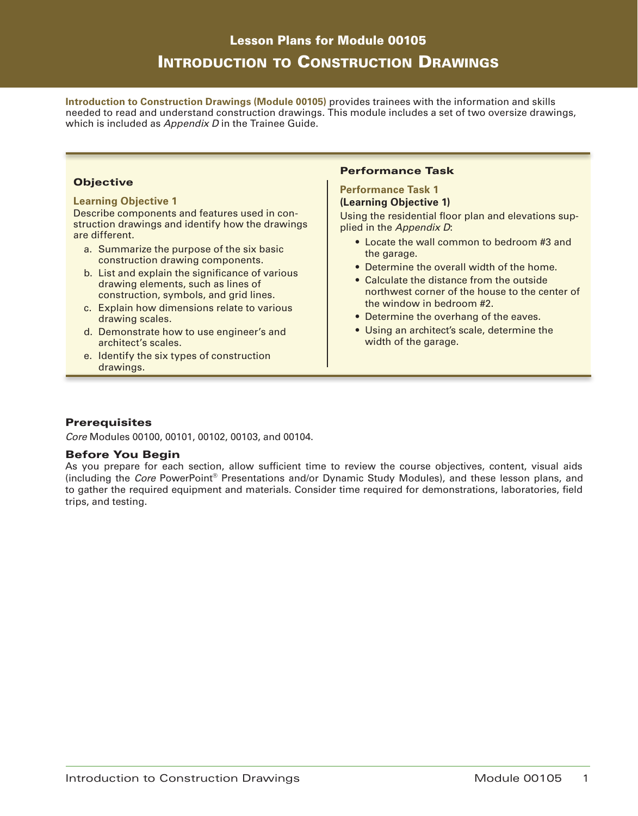# Lesson Plans for Module 00105 Introduction to Construction Drawings

**Introduction to Construction Drawings (Module 00105)** provides trainees with the information and skills needed to read and understand construction drawings. This module includes a set of two oversize drawings, which is included as *Appendix D* in the Trainee Guide.

# **Objective**

### **Learning Objective 1**

Describe components and features used in construction drawings and identify how the drawings are different.

- a. Summarize the purpose of the six basic construction drawing components.
- b. List and explain the significance of various drawing elements, such as lines of construction, symbols, and grid lines.
- c. Explain how dimensions relate to various drawing scales.
- d. Demonstrate how to use engineer's and architect's scales.
- e. Identify the six types of construction drawings.

# Performance Task

# **Performance Task 1**

### **(Learning Objective 1)**

Using the residential floor plan and elevations supplied in the *Appendix D*:

- Locate the wall common to bedroom #3 and the garage.
- Determine the overall width of the home.
- Calculate the distance from the outside northwest corner of the house to the center of the window in bedroom #2.
- Determine the overhang of the eaves.
- Using an architect's scale, determine the width of the garage.

# **Prerequisites**

*Core* Modules 00100, 00101, 00102, 00103, and 00104.

# Before You Begin

As you prepare for each section, allow sufficient time to review the course objectives, content, visual aids (including the *Core* PowerPoint® Presentations and/or Dynamic Study Modules), and these lesson plans, and to gather the required equipment and materials. Consider time required for demonstrations, laboratories, field trips, and testing.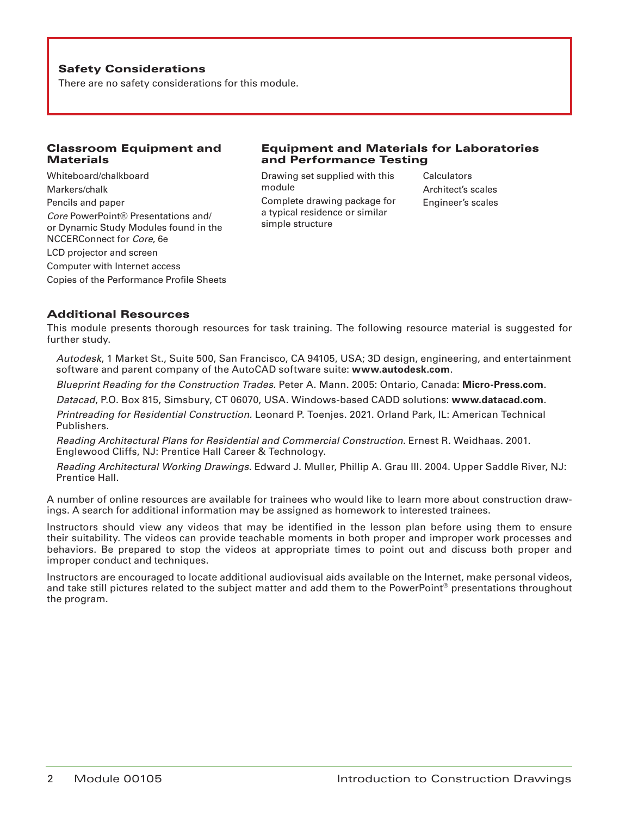There are no safety considerations for this module.

# Classroom Equipment and **Materials**

Whiteboard/chalkboard Markers/chalk Pencils and paper *Core* PowerPoint® Presentations and/ or Dynamic Study Modules found in the NCCERConnect for *Core*, 6e LCD projector and screen Computer with Internet access Copies of the Performance Profile Sheets

# Equipment and Materials for Laboratories and Performance Testing

Drawing set supplied with this module Complete drawing package for a typical residence or similar simple structure

**Calculators** Architect's scales Engineer's scales

# Additional Resources

This module presents thorough resources for task training. The following resource material is suggested for further study.

*Autodesk*, 1 Market St., Suite 500, San Francisco, CA 94105, USA; 3D design, engineering, and entertainment software and parent company of the AutoCAD software suite: **www.autodesk.com**.

*Blueprint Reading for the Construction Trades.* Peter A. Mann. 2005: Ontario, Canada: **Micro-Press.com**.

*Datacad*, P.O. Box 815, Simsbury, CT 06070, USA. Windows-based CADD solutions: **www.datacad.com**.

*Printreading for Residential Construction.* Leonard P. Toenjes. 2021. Orland Park, IL: American Technical Publishers.

*Reading Architectural Plans for Residential and Commercial Construction.* Ernest R. Weidhaas. 2001. Englewood Cliffs, NJ: Prentice Hall Career & Technology.

*Reading Architectural Working Drawings.* Edward J. Muller, Phillip A. Grau III. 2004. Upper Saddle River, NJ: Prentice Hall.

A number of online resources are available for trainees who would like to learn more about construction drawings. A search for additional information may be assigned as homework to interested trainees.

Instructors should view any videos that may be identified in the lesson plan before using them to ensure their suitability. The videos can provide teachable moments in both proper and improper work processes and behaviors. Be prepared to stop the videos at appropriate times to point out and discuss both proper and improper conduct and techniques.

Instructors are encouraged to locate additional audiovisual aids available on the Internet, make personal videos, and take still pictures related to the subject matter and add them to the PowerPoint<sup>®</sup> presentations throughout the program.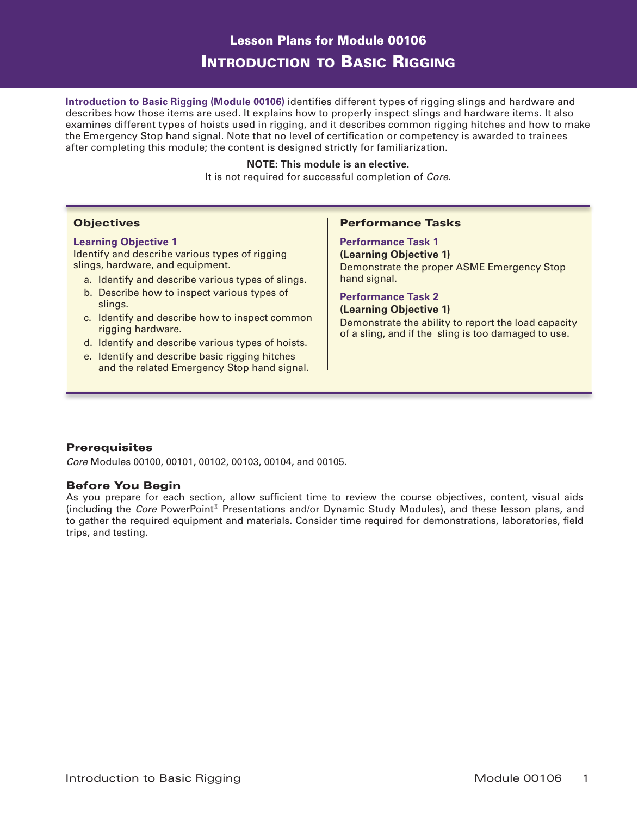# Lesson Plans for Module 00106 Introduction to Basic Rigging

**Introduction to Basic Rigging (Module 00106)** identifies different types of rigging slings and hardware and describes how those items are used. It explains how to properly inspect slings and hardware items. It also examines different types of hoists used in rigging, and it describes common rigging hitches and how to make the Emergency Stop hand signal. Note that no level of certification or competency is awarded to trainees after completing this module; the content is designed strictly for familiarization.

### **NOTE: This module is an elective.**

It is not required for successful completion of *Core*.

### **Objectives**

### **Learning Objective 1**

Identify and describe various types of rigging slings, hardware, and equipment.

- a. Identify and describe various types of slings.
- b. Describe how to inspect various types of slings.
- c. Identify and describe how to inspect common rigging hardware.
- d. Identify and describe various types of hoists.
- e. Identify and describe basic rigging hitches and the related Emergency Stop hand signal.

### Performance Tasks

# **Performance Task 1**

**(Learning Objective 1)** Demonstrate the proper ASME Emergency Stop hand signal.

# **Performance Task 2**

**(Learning Objective 1)** Demonstrate the ability to report the load capacity of a sling, and if the sling is too damaged to use.

# **Prerequisites**

*Core* Modules 00100, 00101, 00102, 00103, 00104, and 00105.

### Before You Begin

As you prepare for each section, allow sufficient time to review the course objectives, content, visual aids (including the *Core* PowerPoint® Presentations and/or Dynamic Study Modules), and these lesson plans, and to gather the required equipment and materials. Consider time required for demonstrations, laboratories, field trips, and testing.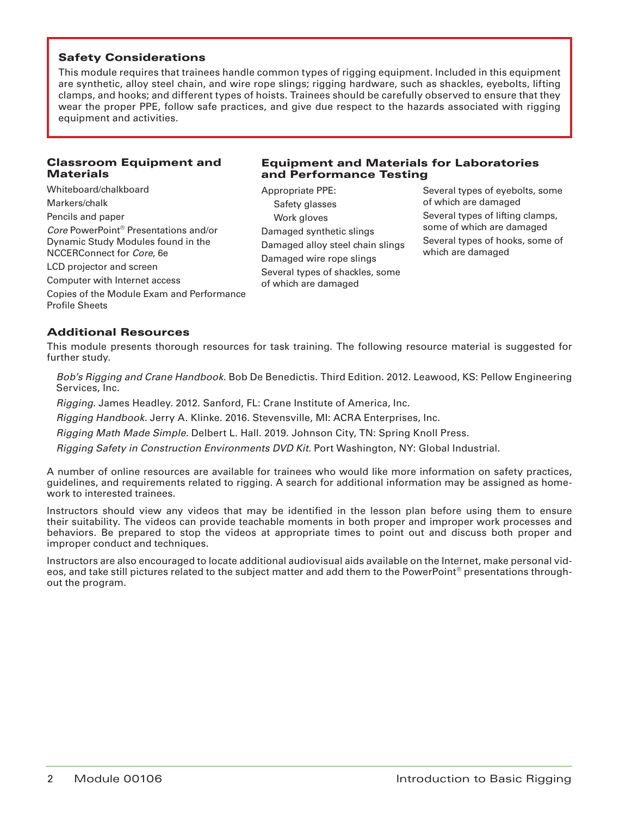This module requires that trainees handle common types of rigging equipment. Included in this equipment are synthetic, alloy steel chain, and wire rope slings; rigging hardware, such as shackles, eyebolts, lifting clamps, and hooks; and different types of hoists. Trainees should be carefully observed to ensure that they wear the proper PPE, follow safe practices, and give due respect to the hazards associated with rigging equipment and activities.

# Classroom Equipment and **Materials**

# Whiteboard/chalkboard Markers/chalk Pencils and paper *Core* PowerPoint® Presentations and/or Dynamic Study Modules found in the NCCERConnect for *Core*, 6e LCD projector and screen

Computer with Internet access

Copies of the Module Exam and Performance Profile Sheets

# Equipment and Materials for Laboratories and Performance Testing

Appropriate PPE: Safety glasses Work gloves Damaged synthetic slings Damaged alloy steel chain slings Damaged wire rope slings Several types of shackles, some of which are damaged

Several types of eyebolts, some of which are damaged Several types of lifting clamps, some of which are damaged Several types of hooks, some of which are damaged

# Additional Resources

This module presents thorough resources for task training. The following resource material is suggested for further study.

*Bob's Rigging and Crane Handbook.* Bob De Benedictis. Third Edition. 2012. Leawood, KS: Pellow Engineering Services, Inc.

*Rigging.* James Headley. 2012. Sanford, FL: Crane Institute of America, Inc.

*Rigging Handbook.* Jerry A. Klinke. 2016. Stevensville, MI: ACRA Enterprises, Inc.

*Rigging Math Made Simple.* Delbert L. Hall. 2019. Johnson City, TN: Spring Knoll Press.

*Rigging Safety in Construction Environments DVD Kit.* Port Washington, NY: Global Industrial.

A number of online resources are available for trainees who would like more information on safety practices, guidelines, and requirements related to rigging. A search for additional information may be assigned as homework to interested trainees.

Instructors should view any videos that may be identified in the lesson plan before using them to ensure their suitability. The videos can provide teachable moments in both proper and improper work processes and behaviors. Be prepared to stop the videos at appropriate times to point out and discuss both proper and improper conduct and techniques.

Instructors are also encouraged to locate additional audiovisual aids available on the Internet, make personal videos, and take still pictures related to the subject matter and add them to the PowerPoint® presentations throughout the program.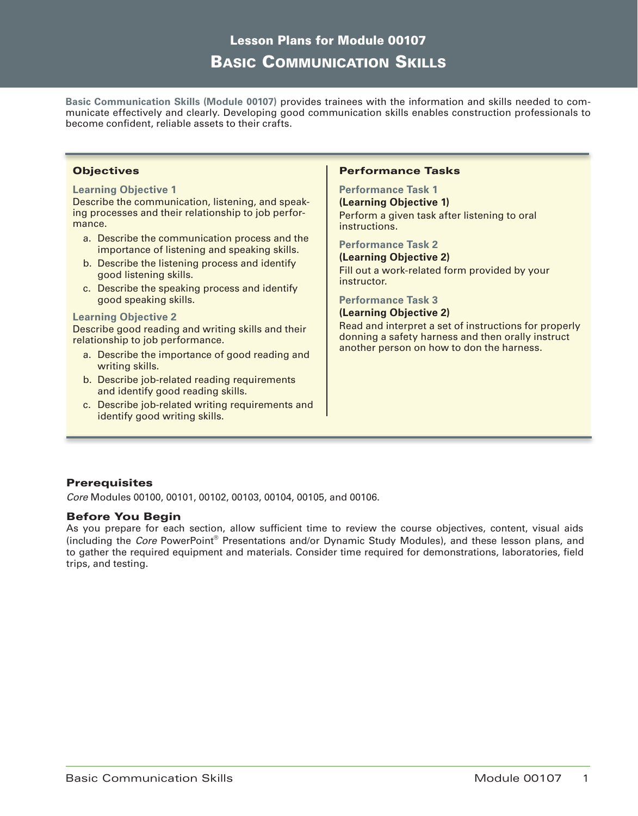# Lesson Plans for Module 00107 Basic Communication Skills

**Basic Communication Skills (Module 00107)** provides trainees with the information and skills needed to communicate effectively and clearly. Developing good communication skills enables construction professionals to become confident, reliable assets to their crafts.

### **Objectives**

### **Learning Objective 1**

Describe the communication, listening, and speaking processes and their relationship to job performance.

- a. Describe the communication process and the importance of listening and speaking skills.
- b. Describe the listening process and identify good listening skills.
- c. Describe the speaking process and identify good speaking skills.

#### **Learning Objective 2**

Describe good reading and writing skills and their relationship to job performance.

- a. Describe the importance of good reading and writing skills.
- b. Describe job-related reading requirements and identify good reading skills.
- c. Describe job-related writing requirements and identify good writing skills.

### Performance Tasks

### **Performance Task 1**

**(Learning Objective 1)** Perform a given task after listening to oral instructions.

#### **Performance Task 2**

**(Learning Objective 2)** Fill out a work-related form provided by your instructor.

### **Performance Task 3**

# **(Learning Objective 2)**

Read and interpret a set of instructions for properly donning a safety harness and then orally instruct another person on how to don the harness.

# **Prerequisites**

*Core* Modules 00100, 00101, 00102, 00103, 00104, 00105, and 00106.

### Before You Begin

As you prepare for each section, allow sufficient time to review the course objectives, content, visual aids (including the *Core* PowerPoint® Presentations and/or Dynamic Study Modules), and these lesson plans, and to gather the required equipment and materials. Consider time required for demonstrations, laboratories, field trips, and testing.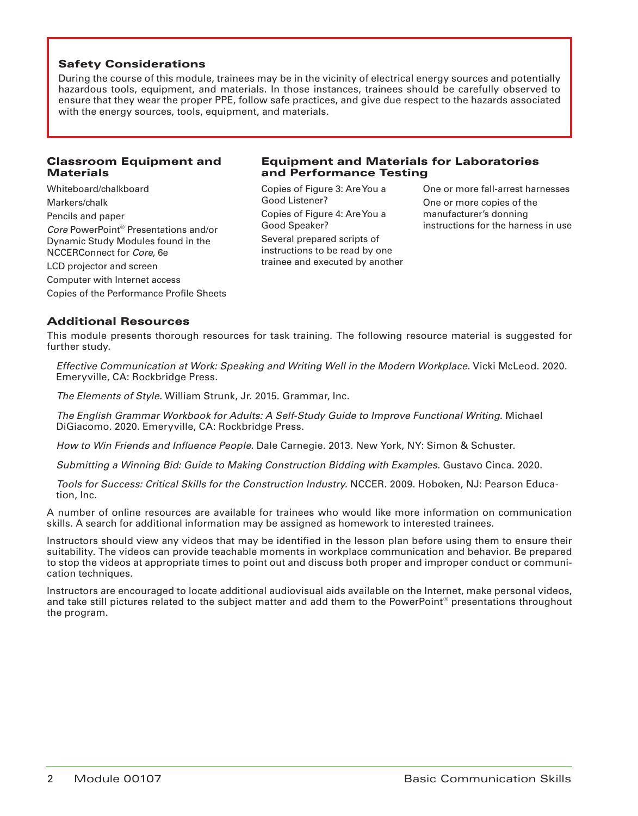During the course of this module, trainees may be in the vicinity of electrical energy sources and potentially hazardous tools, equipment, and materials. In those instances, trainees should be carefully observed to ensure that they wear the proper PPE, follow safe practices, and give due respect to the hazards associated with the energy sources, tools, equipment, and materials.

# Classroom Equipment and **Materials**

Whiteboard/chalkboard Markers/chalk Pencils and paper *Core* PowerPoint® Presentations and/or Dynamic Study Modules found in the NCCERConnect for *Core*, 6e LCD projector and screen Computer with Internet access

Copies of the Performance Profile Sheets

# Equipment and Materials for Laboratories and Performance Testing

Copies of Figure 3: Are You a Good Listener? Copies of Figure 4: Are You a Good Speaker? Several prepared scripts of instructions to be read by one trainee and executed by another One or more fall-arrest harnesses One or more copies of the manufacturer's donning instructions for the harness in use

# Additional Resources

This module presents thorough resources for task training. The following resource material is suggested for further study.

*Effective Communication at Work: Speaking and Writing Well in the Modern Workplace.* Vicki McLeod. 2020. Emeryville, CA: Rockbridge Press.

*The Elements of Style.* William Strunk, Jr. 2015. Grammar, Inc.

*The English Grammar Workbook for Adults: A Self-Study Guide to Improve Functional Writing.* Michael DiGiacomo. 2020. Emeryville, CA: Rockbridge Press.

*How to Win Friends and Influence People.* Dale Carnegie. 2013. New York, NY: Simon & Schuster.

*Submitting a Winning Bid: Guide to Making Construction Bidding with Examples.* Gustavo Cinca. 2020.

*Tools for Success: Critical Skills for the Construction Industry.* NCCER. 2009. Hoboken, NJ: Pearson Education, Inc.

A number of online resources are available for trainees who would like more information on communication skills. A search for additional information may be assigned as homework to interested trainees.

Instructors should view any videos that may be identified in the lesson plan before using them to ensure their suitability. The videos can provide teachable moments in workplace communication and behavior. Be prepared to stop the videos at appropriate times to point out and discuss both proper and improper conduct or communication techniques.

Instructors are encouraged to locate additional audiovisual aids available on the Internet, make personal videos, and take still pictures related to the subject matter and add them to the PowerPoint<sup>®</sup> presentations throughout the program.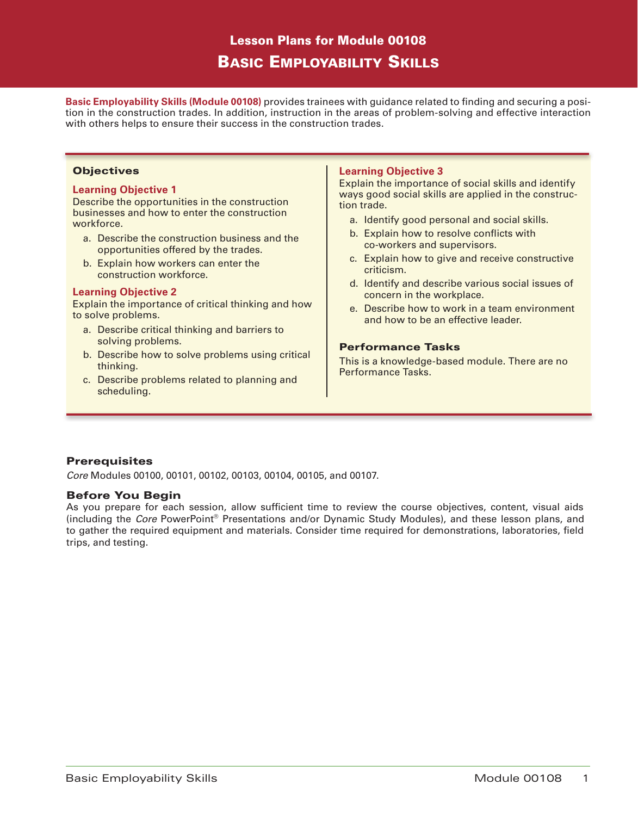# Lesson Plans for Module 00108 Basic Employability Skills

**Basic Employability Skills (Module 00108)** provides trainees with guidance related to finding and securing a position in the construction trades. In addition, instruction in the areas of problem-solving and effective interaction with others helps to ensure their success in the construction trades.

### **Objectives**

### **Learning Objective 1**

Describe the opportunities in the construction businesses and how to enter the construction workforce.

- a. Describe the construction business and the opportunities offered by the trades.
- b. Explain how workers can enter the construction workforce.

### **Learning Objective 2**

Explain the importance of critical thinking and how to solve problems.

- a. Describe critical thinking and barriers to solving problems.
- b. Describe how to solve problems using critical thinking.
- c. Describe problems related to planning and scheduling.

# **Learning Objective 3**

Explain the importance of social skills and identify ways good social skills are applied in the construction trade.

- a. Identify good personal and social skills.
- b. Explain how to resolve conflicts with co-workers and supervisors.
- c. Explain how to give and receive constructive criticism.
- d. Identify and describe various social issues of concern in the workplace.
- e. Describe how to work in a team environment and how to be an effective leader.

# Performance Tasks

This is a knowledge-based module. There are no Performance Tasks.

# **Prerequisites**

*Core* Modules 00100, 00101, 00102, 00103, 00104, 00105, and 00107.

### Before You Begin

As you prepare for each session, allow sufficient time to review the course objectives, content, visual aids (including the *Core* PowerPoint® Presentations and/or Dynamic Study Modules), and these lesson plans, and to gather the required equipment and materials. Consider time required for demonstrations, laboratories, field trips, and testing.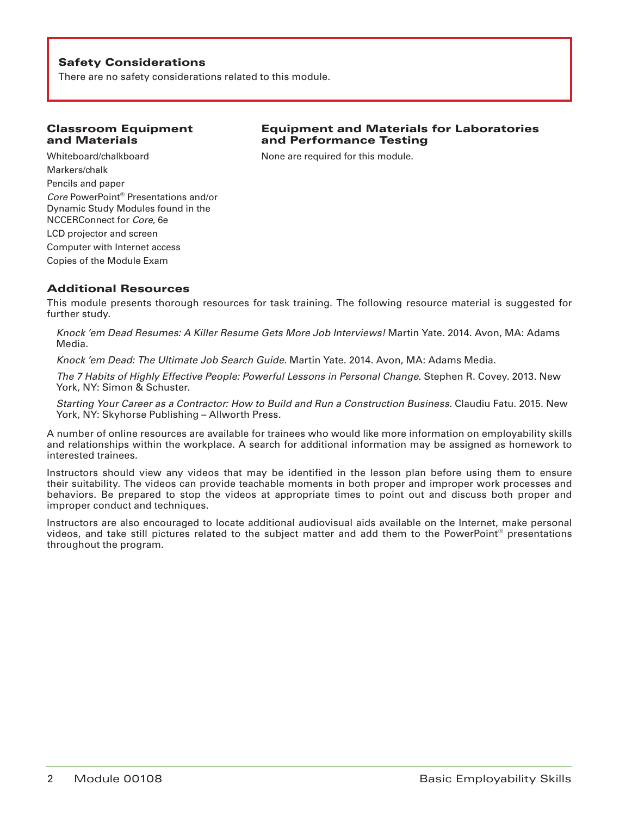There are no safety considerations related to this module.

# Classroom Equipment and Materials

Whiteboard/chalkboard Markers/chalk Pencils and paper *Core* PowerPoint® Presentations and/or Dynamic Study Modules found in the NCCERConnect for *Core*, 6e LCD projector and screen Computer with Internet access Copies of the Module Exam

# Equipment and Materials for Laboratories and Performance Testing

None are required for this module.

# Additional Resources

This module presents thorough resources for task training. The following resource material is suggested for further study.

*Knock 'em Dead Resumes: A Killer Resume Gets More Job Interviews!* Martin Yate. 2014. Avon, MA: Adams Media.

*Knock 'em Dead: The Ultimate Job Search Guide.* Martin Yate. 2014. Avon, MA: Adams Media.

*The 7 Habits of Highly Effective People: Powerful Lessons in Personal Change.* Stephen R. Covey. 2013. New York, NY: Simon & Schuster.

*Starting Your Career as a Contractor: How to Build and Run a Construction Business.* Claudiu Fatu. 2015. New York, NY: Skyhorse Publishing – Allworth Press.

A number of online resources are available for trainees who would like more information on employability skills and relationships within the workplace. A search for additional information may be assigned as homework to interested trainees.

Instructors should view any videos that may be identified in the lesson plan before using them to ensure their suitability. The videos can provide teachable moments in both proper and improper work processes and behaviors. Be prepared to stop the videos at appropriate times to point out and discuss both proper and improper conduct and techniques.

Instructors are also encouraged to locate additional audiovisual aids available on the Internet, make personal videos, and take still pictures related to the subject matter and add them to the PowerPoint® presentations throughout the program.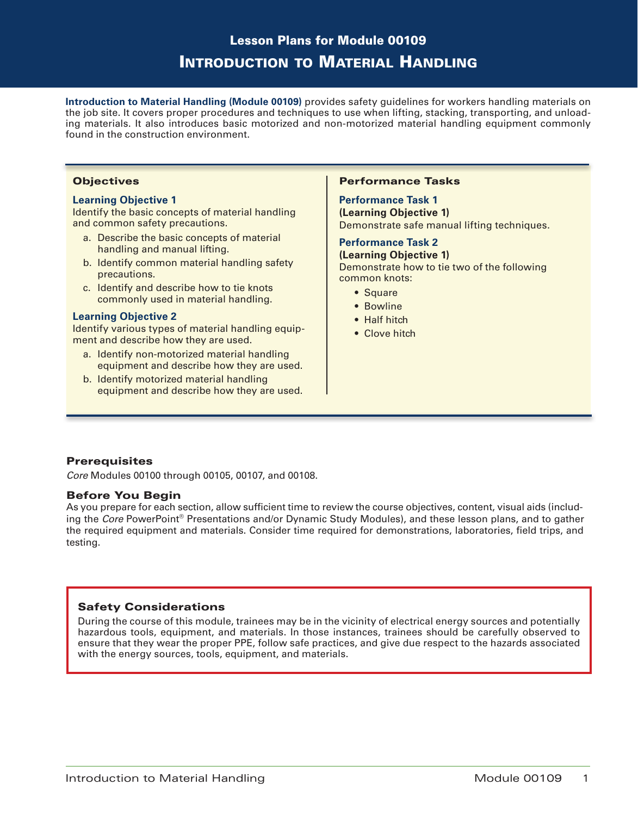# Lesson Plans for Module 00109 Introduction to Material Handling

**Introduction to Material Handling (Module 00109)** provides safety guidelines for workers handling materials on the job site. It covers proper procedures and techniques to use when lifting, stacking, transporting, and unloading materials. It also introduces basic motorized and non-motorized material handling equipment commonly found in the construction environment.

### **Objectives**

### **Learning Objective 1**

Identify the basic concepts of material handling and common safety precautions.

- a. Describe the basic concepts of material handling and manual lifting.
- b. Identify common material handling safety precautions.
- c. Identify and describe how to tie knots commonly used in material handling.

### **Learning Objective 2**

Identify various types of material handling equipment and describe how they are used.

- a. Identify non-motorized material handling equipment and describe how they are used.
- b. Identify motorized material handling equipment and describe how they are used.

### Performance Tasks

**Performance Task 1 (Learning Objective 1)** Demonstrate safe manual lifting techniques.

# **Performance Task 2**

**(Learning Objective 1)** Demonstrate how to tie two of the following common knots:

- Square
- Bowline
- Half hitch
- Clove hitch

# **Prerequisites**

*Core* Modules 00100 through 00105, 00107, and 00108.

### Before You Begin

As you prepare for each section, allow sufficient time to review the course objectives, content, visual aids (including the *Core* PowerPoint® Presentations and/or Dynamic Study Modules), and these lesson plans, and to gather the required equipment and materials. Consider time required for demonstrations, laboratories, field trips, and testing.

# Safety Considerations

During the course of this module, trainees may be in the vicinity of electrical energy sources and potentially hazardous tools, equipment, and materials. In those instances, trainees should be carefully observed to ensure that they wear the proper PPE, follow safe practices, and give due respect to the hazards associated with the energy sources, tools, equipment, and materials.